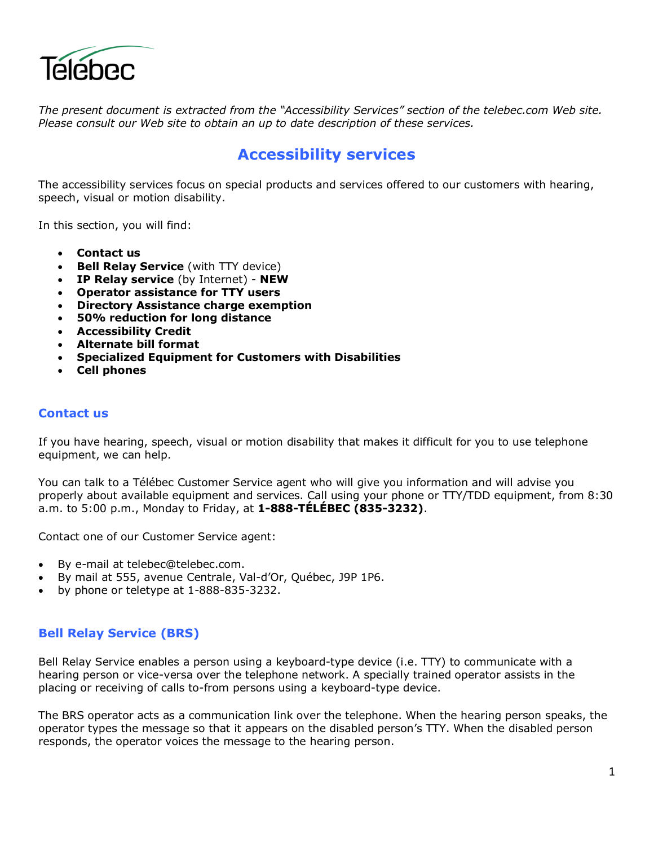

*The present document is extracted from the "Accessibility Services" section of the telebec.com Web site. Please consult our Web site to obtain an up to date description of these services.* 

# **Accessibility services**

The accessibility services focus on special products and services offered to our customers with hearing, speech, visual or motion disability.

In this section, you will find:

- **Contact us**
- **Bell Relay Service** (with TTY device)
- **IP Relay service** (by Internet) **NEW**
- **Operator assistance for TTY users**
- **Directory Assistance charge exemption**
- **50% reduction for long distance**
- **Accessibility Credit**
- **Alternate bill format**
- **Specialized Equipment for Customers with Disabilities**
- **Cell phones**

#### **Contact us**

If you have hearing, speech, visual or motion disability that makes it difficult for you to use telephone equipment, we can help.

You can talk to a Télébec Customer Service agent who will give you information and will advise you properly about available equipment and services. Call using your phone or TTY/TDD equipment, from 8:30 a.m. to 5:00 p.m., Monday to Friday, at **1-888-TÉLÉBEC (835-3232)**.

Contact one of our Customer Service agent:

- By e-mail at telebec@telebec.com.
- By mail at 555, avenue Centrale, Val-d'Or, Québec, J9P 1P6.
- by phone or teletype at 1-888-835-3232.

### **Bell Relay Service (BRS)**

Bell Relay Service enables a person using a keyboard-type device (i.e. TTY) to communicate with a hearing person or vice-versa over the telephone network. A specially trained operator assists in the placing or receiving of calls to-from persons using a keyboard-type device.

The BRS operator acts as a communication link over the telephone. When the hearing person speaks, the operator types the message so that it appears on the disabled person's TTY. When the disabled person responds, the operator voices the message to the hearing person.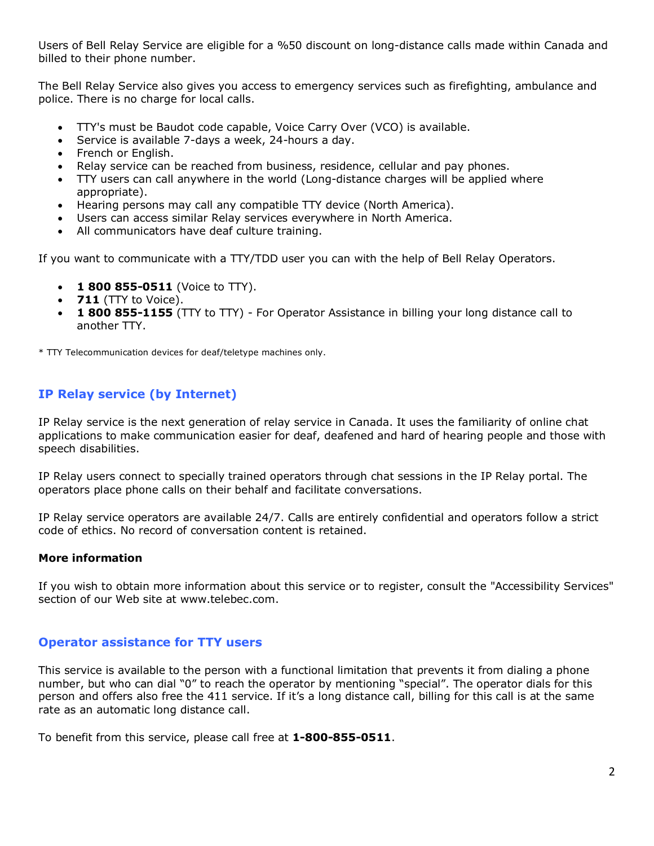Users of Bell Relay Service are eligible for a %50 discount on long-distance calls made within Canada and billed to their phone number.

The Bell Relay Service also gives you access to emergency services such as firefighting, ambulance and police. There is no charge for local calls.

- TTY's must be Baudot code capable, Voice Carry Over (VCO) is available.
- Service is available 7-days a week, 24-hours a day.
- French or English.
- Relay service can be reached from business, residence, cellular and pay phones.
- TTY users can call anywhere in the world (Long-distance charges will be applied where appropriate).
- Hearing persons may call any compatible TTY device (North America).
- Users can access similar Relay services everywhere in North America.
- All communicators have deaf culture training.

If you want to communicate with a TTY/TDD user you can with the help of Bell Relay Operators.

- **1 800 855-0511** (Voice to TTY).
- **711** (TTY to Voice).
- **1 800 855-1155** (TTY to TTY) For Operator Assistance in billing your long distance call to another TTY.

\* TTY Telecommunication devices for deaf/teletype machines only.

# **IP Relay service (by Internet)**

IP Relay service is the next generation of relay service in Canada. It uses the familiarity of online chat applications to make communication easier for deaf, deafened and hard of hearing people and those with speech disabilities.

IP Relay users connect to specially trained operators through chat sessions in the IP Relay portal. The operators place phone calls on their behalf and facilitate conversations.

IP Relay service operators are available 24/7. Calls are entirely confidential and operators follow a strict code of ethics. No record of conversation content is retained.

### **More information**

If you wish to obtain more information about this service or to register, consult the "Accessibility Services" section of our Web site at www.telebec.com.

### **Operator assistance for TTY users**

This service is available to the person with a functional limitation that prevents it from dialing a phone number, but who can dial "0" to reach the operator by mentioning "special". The operator dials for this person and offers also free the 411 service. If it's a long distance call, billing for this call is at the same rate as an automatic long distance call.

To benefit from this service, please call free at **1-800-855-0511**.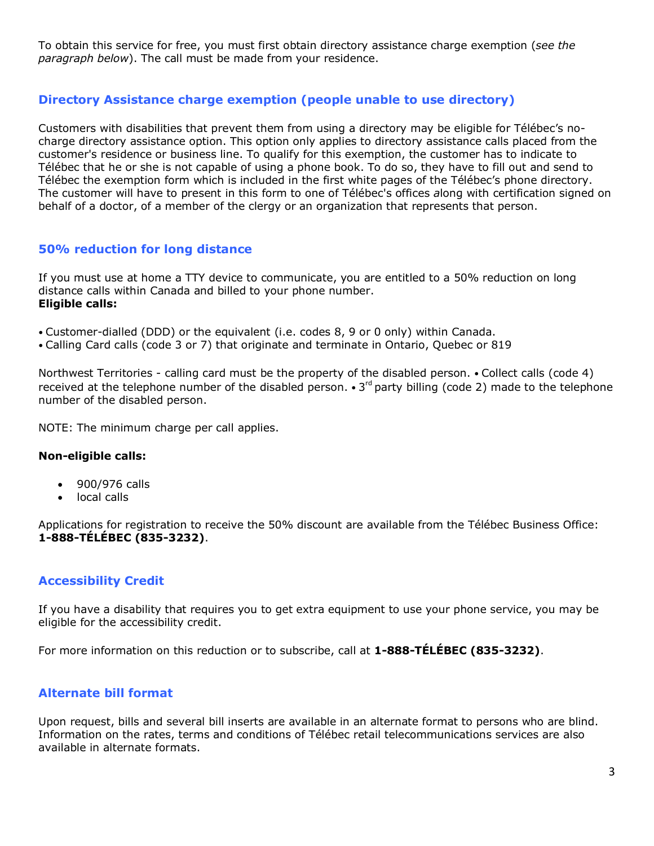To obtain this service for free, you must first obtain directory assistance charge exemption (*see the paragraph below*). The call must be made from your residence.

## **Directory Assistance charge exemption (people unable to use directory)**

Customers with disabilities that prevent them from using a directory may be eligible for Télébec's nocharge directory assistance option. This option only applies to directory assistance calls placed from the customer's residence or business line. To qualify for this exemption, the customer has to indicate to Télébec that he or she is not capable of using a phone book. To do so, they have to fill out and send to Télébec the exemption form which is included in the first white pages of the Télébec's phone directory. The customer will have to present in this form to one of Télébec's offices *a*long with certification signed on behalf of a doctor, of a member of the clergy or an organization that represents that person.

### **50% reduction for long distance**

If you must use at home a TTY device to communicate, you are entitled to a 50% reduction on long distance calls within Canada and billed to your phone number. **Eligible calls:** 

- • Customer-dialled (DDD) or the equivalent (i.e. codes 8, 9 or 0 only) within Canada.
- • Calling Card calls (code 3 or 7) that originate and terminate in Ontario, Quebec or 819

Northwest Territories - calling card must be the property of the disabled person. • Collect calls (code 4) received at the telephone number of the disabled person.  $\cdot$  3<sup>rd</sup> party billing (code 2) made to the telephone number of the disabled person.

NOTE: The minimum charge per call applies.

#### **Non-eligible calls:**

- 900/976 calls
- local calls

Applications for registration to receive the 50% discount are available from the Télébec Business Office: **1-888-TÉLÉBEC (835-3232)**.

### **Accessibility Credit**

If you have a disability that requires you to get extra equipment to use your phone service, you may be eligible for the accessibility credit.

For more information on this reduction or to subscribe, call at **1-888-TÉLÉBEC (835-3232)**.

### **Alternate bill format**

Upon request, bills and several bill inserts are available in an alternate format to persons who are blind. Information on the rates, terms and conditions of Télébec retail telecommunications services are also available in alternate formats.